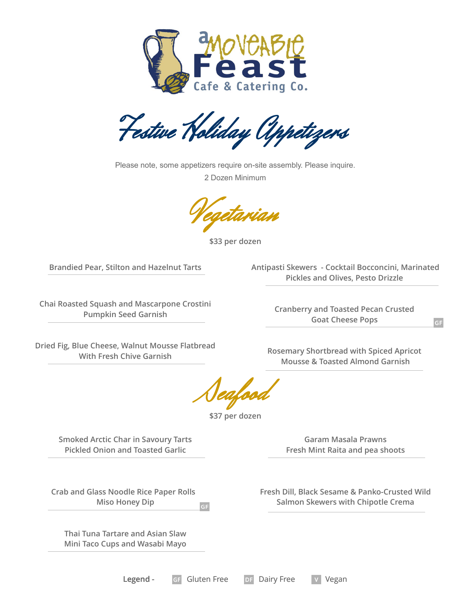

Festive Holiday Appetizers

Please note, some appetizers require on-site assembly. Please inquire.

2 Dozen Minimum

Vegetarian

**\$33 per dozen**

**Brandied Pear, Stilton and Hazelnut Tarts**

**Antipasti Skewers - Cocktail Bocconcini, Marinated Pickles and Olives, Pesto Drizzle** 

**Chai Roasted Squash and Mascarpone Crostini Pumpkin Seed Garnish**

**Cranberry and Toasted Pecan Crusted Goat Cheese Pops** 

**Dried Fig, Blue Cheese, Walnut Mousse Flatbread With Fresh Chive Garnish**

**Rosemary Shortbread with Spiced Apricot Mousse & Toasted Almond Garnish**

Seafood

**\$37 per dozen**

**Smoked Arctic Char in Savoury Tarts Pickled Onion and Toasted Garlic**

**Garam Masala Prawns Fresh Mint Raita and pea shoots**

**Crab and Glass Noodle Rice Paper Rolls Miso Honey Dip**  $GF$ 

**Thai Tuna Tartare and Asian Slaw Mini Taco Cups and Wasabi Mayo** **Fresh Dill, Black Sesame & Panko-Crusted Wild Salmon Skewers with Chipotle Crema**